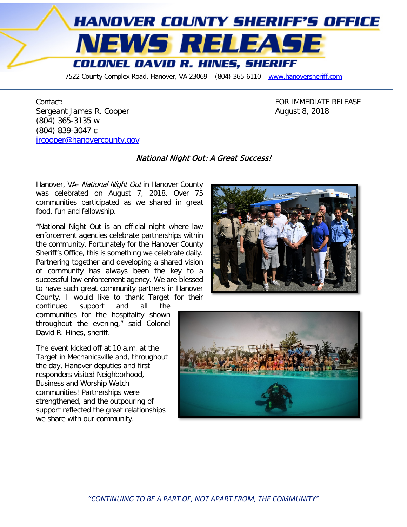

7522 County Complex Road, Hanover, VA 23069 - (804) 365-6110 - [www.hanoversheriff.com](http://www.hanoversheriff.com/)

Contact: Contact: Contact: Contact: Contact: Contact: Contact: Contact: Contact: Contact: Contact: Contact: Contact: Contact: Contact: Contact: Contact: Contact: Contact: Contact: Contact: Contact: Contact: Contact: Contac Sergeant James R. Cooper **August 8, 2018** (804) 365-3135 w (804) 839-3047 c [jrcooper@hanovercounty.gov](mailto:jrcooper@hanovercounty.gov)

## National Night Out: A Great Success!

Hanover, VA- National Night Out in Hanover County was celebrated on August 7, 2018. Over 75 communities participated as we shared in great food, fun and fellowship.

"National Night Out is an official night where law enforcement agencies celebrate partnerships within the community. Fortunately for the Hanover County Sheriff's Office, this is something we celebrate daily. Partnering together and developing a shared vision of community has always been the key to a successful law enforcement agency. We are blessed to have such great community partners in Hanover County. I would like to thank Target for their

continued support and all the communities for the hospitality shown throughout the evening," said Colonel David R. Hines, sheriff.

The event kicked off at 10 a.m. at the Target in Mechanicsville and, throughout the day, Hanover deputies and first responders visited Neighborhood, Business and Worship Watch communities! Partnerships were strengthened, and the outpouring of support reflected the great relationships we share with our community.